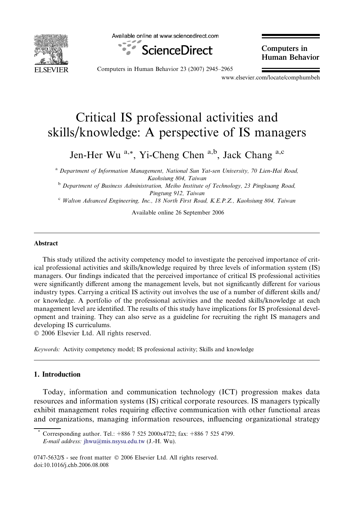

Available online at www.sciencedirect.com



Computers in Human Behavior

Computers in Human Behavior 23 (2007) 2945–2965

www.elsevier.com/locate/comphumbeh

# Critical IS professional activities and skills/knowledge: A perspective of IS managers

Jen-Her Wu<sup>a,\*</sup>, Yi-Cheng Chen<sup>a,b</sup>, Jack Chang<sup>a,c</sup>

<sup>a</sup> Department of Information Management, National Sun Yat-sen University, 70 Lien-Hai Road, Kaohsiung 804, Taiwan

<sup>b</sup> Department of Business Administration, Meiho Institute of Technology, 23 Pingkuang Road, Pingtung 912, Taiwan

<sup>c</sup> Walton Advanced Engineering, Inc., 18 North First Road, K.E.P.Z., Kaohsiung 804, Taiwan

Available online 26 September 2006

#### Abstract

This study utilized the activity competency model to investigate the perceived importance of critical professional activities and skills/knowledge required by three levels of information system (IS) managers. Our findings indicated that the perceived importance of critical IS professional activities were significantly different among the management levels, but not significantly different for various industry types. Carrying a critical IS activity out involves the use of a number of different skills and/ or knowledge. A portfolio of the professional activities and the needed skills/knowledge at each management level are identified. The results of this study have implications for IS professional development and training. They can also serve as a guideline for recruiting the right IS managers and developing IS curriculums.

 $© 2006 Elsevier Ltd. All rights reserved.$ 

Keywords: Activity competency model; IS professional activity; Skills and knowledge

## 1. Introduction

Today, information and communication technology (ICT) progression makes data resources and information systems (IS) critical corporate resources. IS managers typically exhibit management roles requiring effective communication with other functional areas and organizations, managing information resources, influencing organizational strategy

0747-5632/\$ - see front matter © 2006 Elsevier Ltd. All rights reserved. doi:10.1016/j.chb.2006.08.008

Corresponding author. Tel.: +886 7 525 2000x4722; fax: +886 7 525 4799. E-mail address: [jhwu@mis.nsysu.edu.tw](mailto:jhwu@mis.nsysu.edu.tw) (J.-H. Wu).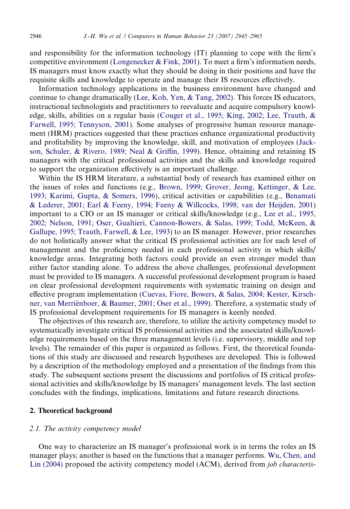and responsibility for the information technology (IT) planning to cope with the firm's competitive environment (Longenecker  $\&$  Fink, 2001). To meet a firm's information needs, IS managers must know exactly what they should be doing in their positions and have the requisite skills and knowledge to operate and manage their IS resources effectively.

Information technology applications in the business environment have changed and continue to change dramatically [\(Lee, Koh, Yen, & Tang, 2002](#page-19-0)). This forces IS educators, instructional technologists and practitioners to reevaluate and acquire compulsory knowledge, skills, abilities on a regular basis ([Couger et al., 1995; King, 2002; Lee, Trauth, &](#page-19-0) [Farwell, 1995; Tennyson, 2001](#page-19-0)). Some analyses of progressive human resource management (HRM) practices suggested that these practices enhance organizational productivity and profitability by improving the knowledge, skill, and motivation of employees ([Jack](#page-19-0)[son, Schuler, & Rivero, 1989; Neal & Griffin, 1999\)](#page-19-0). Hence, obtaining and retaining IS managers with the critical professional activities and the skills and knowledge required to support the organization effectively is an important challenge.

Within the IS HRM literature, a substantial body of research has examined either on the issues of roles and functions (e.g., [Brown, 1999; Grover, Jeong, Kettinger, & Lee,](#page-18-0) [1993; Karimi, Gupta, & Somers, 1996\)](#page-18-0), critical activities or capabilities (e.g., [Benamati](#page-18-0) [& Lederer, 2001; Earl & Feeny, 1994; Feeny & Willcocks, 1998; van der Heijden, 2001](#page-18-0)) important to a CIO or an IS manager or critical skills/knowledge (e.g., [Lee et al., 1995,](#page-19-0) [2002; Nelson, 1991; Oser, Gualtieri, Cannon-Bowers, & Salas, 1999; Todd, McKeen, &](#page-19-0) [Gallupe, 1995; Trauth, Farwell, & Lee, 1993](#page-19-0)) to an IS manager. However, prior researches do not holistically answer what the critical IS professional activities are for each level of management and the proficiency needed in each professional activity in which skills/ knowledge areas. Integrating both factors could provide an even stronger model than either factor standing alone. To address the above challenges, professional development must be provided to IS managers. A successful professional development program is based on clear professional development requirements with systematic training on design and effective program implementation [\(Cuevas, Fiore, Bowers, & Salas, 2004; Kester, Kirsch](#page-19-0)ner, van Merriënboer, & Baumer, 2001; Oser et al., 1999). Therefore, a systematic study of IS professional development requirements for IS managers is keenly needed.

The objectives of this research are, therefore, to utilize the activity competency model to systematically investigate critical IS professional activities and the associated skills/knowledge requirements based on the three management levels (i.e. supervisory, middle and top levels). The remainder of this paper is organized as follows. First, the theoretical foundations of this study are discussed and research hypotheses are developed. This is followed by a description of the methodology employed and a presentation of the findings from this study. The subsequent sections present the discussions and portfolios of IS critical professional activities and skills/knowledge by IS managers' management levels. The last section concludes with the findings, implications, limitations and future research directions.

## 2. Theoretical background

## 2.1. The activity competency model

One way to characterize an IS manager's professional work is in terms the roles an IS manager plays; another is based on the functions that a manager performs. [Wu, Chen, and](#page-20-0) [Lin \(2004\)](#page-20-0) proposed the activity competency model (ACM), derived from *job characteris*-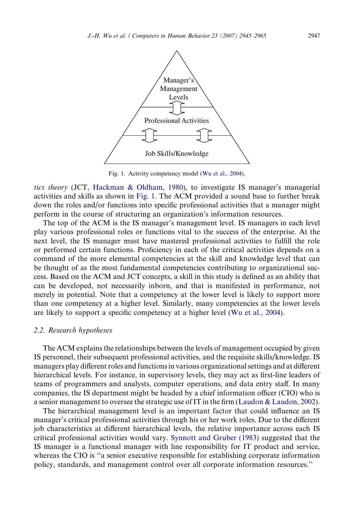

Fig. 1. Activity competency model ([Wu et al., 2004](#page-20-0)).

tics theory (JCT, [Hackman & Oldham, 1980\)](#page-19-0), to investigate IS manager's managerial activities and skills as shown in Fig. 1. The ACM provided a sound base to further break down the roles and/or functions into specific professional activities that a manager might perform in the course of structuring an organization's information resources.

The top of the ACM is the IS manager's management level. IS managers in each level play various professional roles or functions vital to the success of the enterprise. At the next level, the IS manager must have mastered professional activities to fulfill the role or performed certain functions. Proficiency in each of the critical activities depends on a command of the more elemental competencies at the skill and knowledge level that can be thought of as the most fundamental competencies contributing to organizational success. Based on the ACM and JCT concepts, a skill in this study is defined as an ability that can be developed, not necessarily inborn, and that is manifested in performance, not merely in potential. Note that a competency at the lower level is likely to support more than one competency at a higher level. Similarly, many competencies at the lower levels are likely to support a specific competency at a higher level ([Wu et al., 2004\)](#page-20-0).

#### 2.2. Research hypotheses

The ACM explains the relationships between the levels of management occupied by given IS personnel, their subsequent professional activities, and the requisite skills/knowledge. IS managers play different roles and functions in various organizational settings and at different hierarchical levels. For instance, in supervisory levels, they may act as first-line leaders of teams of programmers and analysts, computer operations, and data entry staff. In many companies, the IS department might be headed by a chief information officer (CIO) who is a senior management to oversee the strategic use of IT in the firm ([Laudon & Laudon, 2002\)](#page-19-0).

The hierarchical management level is an important factor that could influence an IS manager's critical professional activities through his or her work roles. Due to the different job characteristics at different hierarchical levels, the relative importance across each IS critical professional activities would vary. [Synnott and Gruber \(1983\)](#page-20-0) suggested that the IS manager is a functional manager with line responsibility for IT product and service, whereas the CIO is "a senior executive responsible for establishing corporate information policy, standards, and management control over all corporate information resources.''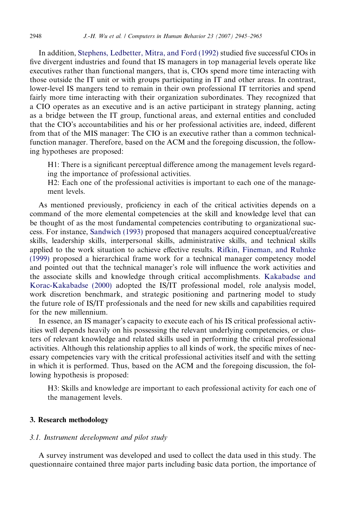In addition, [Stephens, Ledbetter, Mitra, and Ford \(1992\)](#page-20-0) studied five successful CIOs in five divergent industries and found that IS managers in top managerial levels operate like executives rather than functional mangers, that is, CIOs spend more time interacting with those outside the IT unit or with groups participating in IT and other areas. In contrast, lower-level IS mangers tend to remain in their own professional IT territories and spend fairly more time interacting with their organization subordinates. They recognized that a CIO operates as an executive and is an active participant in strategy planning, acting as a bridge between the IT group, functional areas, and external entities and concluded that the CIO's accountabilities and his or her professional activities are, indeed, different from that of the MIS manager: The CIO is an executive rather than a common technicalfunction manager. Therefore, based on the ACM and the foregoing discussion, the following hypotheses are proposed:

H1: There is a significant perceptual difference among the management levels regarding the importance of professional activities.

H2: Each one of the professional activities is important to each one of the management levels.

As mentioned previously, proficiency in each of the critical activities depends on a command of the more elemental competencies at the skill and knowledge level that can be thought of as the most fundamental competencies contributing to organizational success. For instance, [Sandwich \(1993\)](#page-20-0) proposed that managers acquired conceptual/creative skills, leadership skills, interpersonal skills, administrative skills, and technical skills applied to the work situation to achieve effective results. [Rifkin, Fineman, and Ruhnke](#page-20-0) [\(1999\)](#page-20-0) proposed a hierarchical frame work for a technical manager competency model and pointed out that the technical manager's role will influence the work activities and the associate skills and knowledge through critical accomplishments. [Kakabadse and](#page-19-0) [Korac-Kakabadse \(2000\)](#page-19-0) adopted the IS/IT professional model, role analysis model, work discretion benchmark, and strategic positioning and partnering model to study the future role of IS/IT professionals and the need for new skills and capabilities required for the new millennium.

In essence, an IS manager's capacity to execute each of his IS critical professional activities well depends heavily on his possessing the relevant underlying competencies, or clusters of relevant knowledge and related skills used in performing the critical professional activities. Although this relationship applies to all kinds of work, the specific mixes of necessary competencies vary with the critical professional activities itself and with the setting in which it is performed. Thus, based on the ACM and the foregoing discussion, the following hypothesis is proposed:

H3: Skills and knowledge are important to each professional activity for each one of the management levels.

## 3. Research methodology

## 3.1. Instrument development and pilot study

A survey instrument was developed and used to collect the data used in this study. The questionnaire contained three major parts including basic data portion, the importance of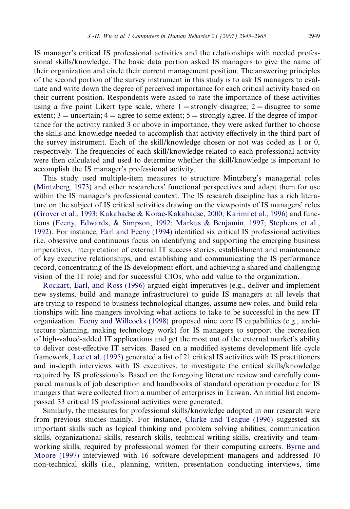IS manager's critical IS professional activities and the relationships with needed professional skills/knowledge. The basic data portion asked IS managers to give the name of their organization and circle their current management position. The answering principles of the second portion of the survey instrument in this study is to ask IS managers to evaluate and write down the degree of perceived importance for each critical activity based on their current position. Respondents were asked to rate the importance of these activities using a five point Likert type scale, where  $1 =$  strongly disagree;  $2 =$  disagree to some extent;  $3 =$  uncertain;  $4 =$  agree to some extent;  $5 =$  strongly agree. If the degree of importance for the activity ranked 3 or above in importance, they were asked further to choose the skills and knowledge needed to accomplish that activity effectively in the third part of the survey instrument. Each of the skill/knowledge chosen or not was coded as 1 or 0, respectively. The frequencies of each skill/knowledge related to each professional activity were then calculated and used to determine whether the skill/knowledge is important to accomplish the IS manager's professional activity.

This study used multiple-item measures to structure Mintzberg's managerial roles ([Mintzberg, 1973](#page-20-0)) and other researchers' functional perspectives and adapt them for use within the IS manager's professional context. The IS research discipline has a rich literature on the subject of IS critical activities drawing on the viewpoints of IS managers' roles ([Grover et al., 1993; Kakabadse & Korac-Kakabadse, 2000; Karimi et al., 1996](#page-19-0)) and functions [\(Feeny, Edwards, & Simpson, 1992; Markus & Benjamin, 1997; Stephens et al.,](#page-19-0) [1992](#page-19-0)). For instance, [Earl and Feeny \(1994\)](#page-19-0) identified six critical IS professional activities (i.e. obsessive and continuous focus on identifying and supporting the emerging business imperatives, interpretation of external IT success stories, establishment and maintenance of key executive relationships, and establishing and communicating the IS performance record, concentrating of the IS development effort, and achieving a shared and challenging vision of the IT role) and for successful CIOs, who add value to the organization.

[Rockart, Earl, and Ross \(1996\)](#page-20-0) argued eight imperatives (e.g., deliver and implement new systems, build and manage infrastructure) to guide IS managers at all levels that are trying to respond to business technological changes, assume new roles, and build relationships with line mangers involving what actions to take to be successful in the new IT organization. [Feeny and Willcocks \(1998\)](#page-19-0) proposed nine core IS capabilities (e.g., architecture planning, making technology work) for IS managers to support the recreation of high-valued-added IT applications and get the most out of the external market's ability to deliver cost-effective IT services. Based on a modified systems development life cycle framework, [Lee et al. \(1995\)](#page-19-0) generated a list of 21 critical IS activities with IS practitioners and in-depth interviews with IS executives, to investigate the critical skills/knowledge required by IS professionals. Based on the foregoing literature review and carefully compared manuals of job description and handbooks of standard operation procedure for IS mangers that were collected from a number of enterprises in Taiwan. An initial list encompassed 33 critical IS professional activities were generated.

Similarly, the measures for professional skills/knowledge adopted in our research were from previous studies mainly. For instance, [Clarke and Teague \(1996\)](#page-19-0) suggested six important skills such as logical thinking and problem solving abilities; communication skills, organizational skills, research skills, technical writing skills, creativity and teamworking skills, required by professional women for their computing careers. [Byrne and](#page-18-0) [Moore \(1997\)](#page-18-0) interviewed with 16 software development managers and addressed 10 non-technical skills (i.e., planning, written, presentation conducting interviews, time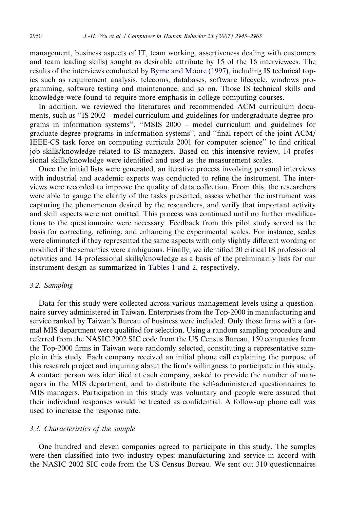management, business aspects of IT, team working, assertiveness dealing with customers and team leading skills) sought as desirable attribute by 15 of the 16 interviewees. The results of the interviews conducted by [Byrne and Moore \(1997\),](#page-18-0) including IS technical topics such as requirement analysis, telecoms, databases, software lifecycle, windows programming, software testing and maintenance, and so on. Those IS technical skills and knowledge were found to require more emphasis in college computing courses.

In addition, we reviewed the literatures and recommended ACM curriculum documents, such as ''IS 2002 – model curriculum and guidelines for undergraduate degree programs in information systems'', ''MSIS 2000 – model curriculum and guidelines for graduate degree programs in information systems'', and ''final report of the joint ACM/ IEEE-CS task force on computing curricula 2001 for computer science'' to find critical job skills/knowledge related to IS managers. Based on this intensive review, 14 professional skills/knowledge were identified and used as the measurement scales.

Once the initial lists were generated, an iterative process involving personal interviews with industrial and academic experts was conducted to refine the instrument. The interviews were recorded to improve the quality of data collection. From this, the researchers were able to gauge the clarity of the tasks presented, assess whether the instrument was capturing the phenomenon desired by the researchers, and verify that important activity and skill aspects were not omitted. This process was continued until no further modifications to the questionnaire were necessary. Feedback from this pilot study served as the basis for correcting, refining, and enhancing the experimental scales. For instance, scales were eliminated if they represented the same aspects with only slightly different wording or modified if the semantics were ambiguous. Finally, we identified 20 critical IS professional activities and 14 professional skills/knowledge as a basis of the preliminarily lists for our instrument design as summarized in [Tables 1 and 2](#page-6-0), respectively.

## 3.2. Sampling

Data for this study were collected across various management levels using a questionnaire survey administered in Taiwan. Enterprises from the Top-2000 in manufacturing and service ranked by Taiwan's Bureau of business were included. Only those firms with a formal MIS department were qualified for selection. Using a random sampling procedure and referred from the NASIC 2002 SIC code from the US Census Bureau, 150 companies from the Top-2000 firms in Taiwan were randomly selected, constituting a representative sample in this study. Each company received an initial phone call explaining the purpose of this research project and inquiring about the firm's willingness to participate in this study. A contact person was identified at each company, asked to provide the number of managers in the MIS department, and to distribute the self-administered questionnaires to MIS managers. Participation in this study was voluntary and people were assured that their individual responses would be treated as confidential. A follow-up phone call was used to increase the response rate.

## 3.3. Characteristics of the sample

One hundred and eleven companies agreed to participate in this study. The samples were then classified into two industry types: manufacturing and service in accord with the NASIC 2002 SIC code from the US Census Bureau. We sent out 310 questionnaires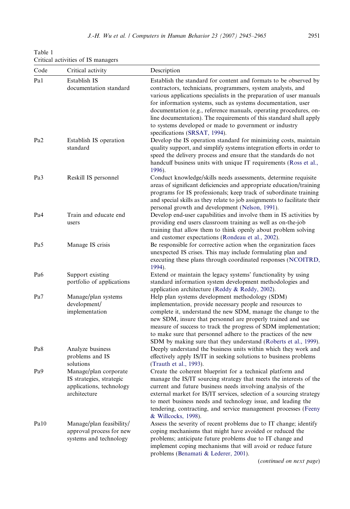<span id="page-6-0"></span>Table 1 Critical activities of IS managers

| Code             | Critical activity                                                                             | Description                                                                                                                                                                                                                                                                                                                                                                                                                                                                                                  |
|------------------|-----------------------------------------------------------------------------------------------|--------------------------------------------------------------------------------------------------------------------------------------------------------------------------------------------------------------------------------------------------------------------------------------------------------------------------------------------------------------------------------------------------------------------------------------------------------------------------------------------------------------|
| Pa1              | Establish IS<br>documentation standard                                                        | Establish the standard for content and formats to be observed by<br>contractors, technicians, programmers, system analysts, and<br>various applications specialists in the preparation of user manuals<br>for information systems, such as systems documentation, user<br>documentation (e.g., reference manuals, operating procedures, on-<br>line documentation). The requirements of this standard shall apply<br>to systems developed or made to government or industry<br>specifications (SRSAT, 1994). |
| Pa <sub>2</sub>  | Establish IS operation<br>standard                                                            | Develop the IS operation standard for minimizing costs, maintain<br>quality support, and simplify systems integration efforts in order to<br>speed the delivery process and ensure that the standards do not<br>handcuff business units with unique IT requirements (Ross et al.,<br>1996).                                                                                                                                                                                                                  |
| Pa <sub>3</sub>  | Reskill IS personnel                                                                          | Conduct knowledge/skills needs assessments, determine requisite<br>areas of significant deficiencies and appropriate education/training<br>programs for IS professionals; keep track of subordinate training<br>and special skills as they relate to job assignments to facilitate their<br>personal growth and development (Nelson, 1991).                                                                                                                                                                  |
| Pa4              | Train and educate end<br>users                                                                | Develop end-user capabilities and involve them in IS activities by<br>providing end users classroom training as well as on-the-job<br>training that allow them to think openly about problem solving<br>and customer expectations (Rondeau et al., 2002).                                                                                                                                                                                                                                                    |
| Pa5              | Manage IS crisis                                                                              | Be responsible for corrective action when the organization faces<br>unexpected IS crises. This may include formulating plan and<br>executing these plans through coordinated responses (NCOITRD,<br>1994).                                                                                                                                                                                                                                                                                                   |
| Pa <sub>6</sub>  | Support existing<br>portfolio of applications                                                 | Extend or maintain the legacy systems' functionality by using<br>standard information system development methodologies and<br>application architecture (Reddy & Reddy, 2002).                                                                                                                                                                                                                                                                                                                                |
| Pa7              | Manage/plan systems<br>development/<br>implementation                                         | Help plan systems development methodology (SDM)<br>implementation, provide necessary people and resources to<br>complete it, understand the new SDM, manage the change to the<br>new SDM, insure that personnel are properly trained and use<br>measure of success to track the progress of SDM implementation;<br>to make sure that personnel adhere to the practices of the new<br>SDM by making sure that they understand (Roberts et al., 1999).                                                         |
| Pa8              | Analyze business<br>problems and IS<br>solutions                                              | Deeply understand the business units within which they work and<br>effectively apply IS/IT in seeking solutions to business problems<br>(Trauth et al., 1993).                                                                                                                                                                                                                                                                                                                                               |
| Pa9              | Manage/plan corporate<br>IS strategies, strategic<br>applications, technology<br>architecture | Create the coherent blueprint for a technical platform and<br>manage the IS/IT sourcing strategy that meets the interests of the<br>current and future business needs involving analysis of the<br>external market for IS/IT services, selection of a sourcing strategy<br>to meet business needs and technology issue, and leading the<br>tendering, contracting, and service management processes (Feeny<br>& Willcocks, 1998).                                                                            |
| Pa <sub>10</sub> | Manage/plan feasibility/<br>approval process for new<br>systems and technology                | Assess the severity of recent problems due to IT change; identify<br>coping mechanisms that might have avoided or reduced the<br>problems; anticipate future problems due to IT change and<br>implement coping mechanisms that will avoid or reduce future<br>problems (Benamati & Lederer, 2001).                                                                                                                                                                                                           |

(continued on next page)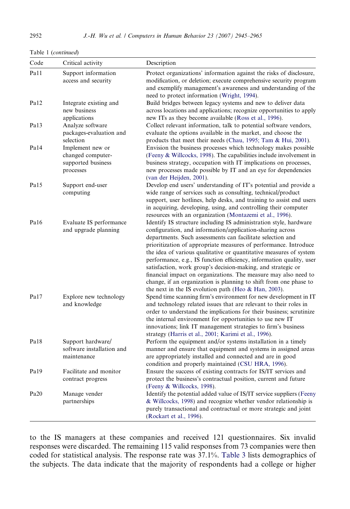| Code             | Critical activity                                                        | Description                                                                                                                                                                                                                                                                                                                                                                                                                                                                                                                                                                                                                                                                    |
|------------------|--------------------------------------------------------------------------|--------------------------------------------------------------------------------------------------------------------------------------------------------------------------------------------------------------------------------------------------------------------------------------------------------------------------------------------------------------------------------------------------------------------------------------------------------------------------------------------------------------------------------------------------------------------------------------------------------------------------------------------------------------------------------|
| Pa11             | Support information<br>access and security                               | Protect organizations' information against the risks of disclosure,<br>modification, or deletion; execute comprehensive security program<br>and exemplify management's awareness and understanding of the<br>need to protect information (Wright, 1994).                                                                                                                                                                                                                                                                                                                                                                                                                       |
| Pa <sub>12</sub> | Integrate existing and<br>new business<br>applications                   | Build bridges between legacy systems and new to deliver data<br>across locations and applications; recognize opportunities to apply<br>new ITs as they become available (Ross et al., 1996).                                                                                                                                                                                                                                                                                                                                                                                                                                                                                   |
| Pa <sub>13</sub> | Analyze software<br>packages-evaluation and<br>selection                 | Collect relevant information, talk to potential software vendors,<br>evaluate the options available in the market, and choose the<br>products that meet their needs (Chau, 1995; Tam & Hui, 2001).                                                                                                                                                                                                                                                                                                                                                                                                                                                                             |
| Pa <sub>14</sub> | Implement new or<br>changed computer-<br>supported business<br>processes | Envision the business processes which technology makes possible<br>(Feeny & Willcocks, 1998). The capabilities include involvement in<br>business strategy, occupation with IT implications on processes,<br>new processes made possible by IT and an eye for dependencies<br>(van der Heijden, 2001).                                                                                                                                                                                                                                                                                                                                                                         |
| Pa <sub>15</sub> | Support end-user<br>computing                                            | Develop end users' understanding of IT's potential and provide a<br>wide range of services such as consulting, technical/product<br>support, user hotlines, help desks, and training to assist end users<br>in acquiring, developing, using, and controlling their computer<br>resources with an organization (Montazemi et al., 1996).                                                                                                                                                                                                                                                                                                                                        |
| Pa <sub>16</sub> | Evaluate IS performance<br>and upgrade planning                          | Identify IS structure including IS administration style, hardware<br>configuration, and information/application-sharing across<br>departments. Such assessments can facilitate selection and<br>prioritization of appropriate measures of performance. Introduce<br>the idea of various qualitative or quantitative measures of system<br>performance, e.g., IS function efficiency, information quality, user<br>satisfaction, work group's decision-making, and strategic or<br>financial impact on organizations. The measure may also need to<br>change, if an organization is planning to shift from one phase to<br>the next in the IS evolution path (Heo & Han, 2003). |
| Pa17             | Explore new technology<br>and knowledge                                  | Spend time scanning firm's environment for new development in IT<br>and technology related issues that are relevant to their roles in<br>order to understand the implications for their business; scrutinize<br>the internal environment for opportunities to use new IT<br>innovations; link IT management strategies to firm's business<br>strategy (Harris et al., 2001; Karimi et al., 1996).                                                                                                                                                                                                                                                                              |
| Pa <sub>18</sub> | Support hardware/<br>software installation and<br>maintenance            | Perform the equipment and/or systems installation in a timely<br>manner and ensure that equipment and systems in assigned areas<br>are appropriately installed and connected and are in good<br>condition and properly maintained (CSU HRA, 1996).                                                                                                                                                                                                                                                                                                                                                                                                                             |
| Pa <sub>19</sub> | Facilitate and monitor<br>contract progress                              | Ensure the success of existing contracts for IS/IT services and<br>protect the business's contractual position, current and future<br>(Feeny & Willcocks, 1998).                                                                                                                                                                                                                                                                                                                                                                                                                                                                                                               |
| Pa20             | Manage vender<br>partnerships                                            | Identify the potential added value of IS/IT service suppliers (Feeny<br>& Willcocks, 1998) and recognize whether vendor relationship is<br>purely transactional and contractual or more strategic and joint<br>(Rockart et al., 1996).                                                                                                                                                                                                                                                                                                                                                                                                                                         |

Table 1 (continued)

to the IS managers at these companies and received 121 questionnaires. Six invalid responses were discarded. The remaining 115 valid responses from 73 companies were then coded for statistical analysis. The response rate was 37.1%. [Table 3](#page-9-0) lists demographics of the subjects. The data indicate that the majority of respondents had a college or higher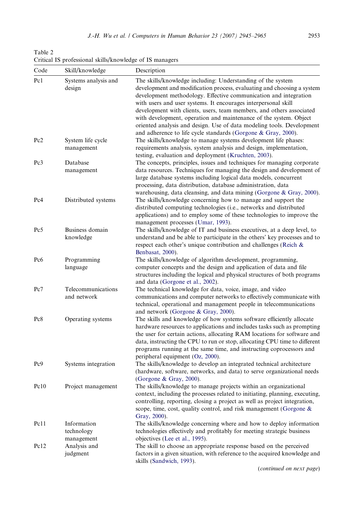Table 2 Critical IS professional skills/knowledge of IS managers

| Code            | Skill/knowledge                         | Description                                                                                                                                                                                                                                                                                                                                                                                                                                                                                                                                                        |
|-----------------|-----------------------------------------|--------------------------------------------------------------------------------------------------------------------------------------------------------------------------------------------------------------------------------------------------------------------------------------------------------------------------------------------------------------------------------------------------------------------------------------------------------------------------------------------------------------------------------------------------------------------|
| Pc1             | Systems analysis and<br>design          | The skills/knowledge including: Understanding of the system<br>development and modification process, evaluating and choosing a system<br>development methodology. Effective communication and integration<br>with users and user systems. It encourages interpersonal skill<br>development with clients, users, team members, and others associated<br>with development, operation and maintenance of the system. Object<br>oriented analysis and design. Use of data modeling tools. Development<br>and adherence to life cycle standards (Gorgone & Gray, 2000). |
| Pc <sub>2</sub> | System life cycle<br>management         | The skills/knowledge to manage systems development life phases:<br>requirements analysis, system analysis and design, implementation,<br>testing, evaluation and deployment (Kruchten, 2003).                                                                                                                                                                                                                                                                                                                                                                      |
| Pc <sub>3</sub> | Database<br>management                  | The concepts, principles, issues and techniques for managing corporate<br>data resources. Techniques for managing the design and development of<br>large database systems including logical data models, concurrent<br>processing, data distribution, database administration, data<br>warehousing, data cleansing, and data mining (Gorgone & Gray, 2000).                                                                                                                                                                                                        |
| Pc4             | Distributed systems                     | The skills/knowledge concerning how to manage and support the<br>distributed computing technologies (i.e., networks and distributed<br>applications) and to employ some of these technologies to improve the<br>management processes (Umar, 1993).                                                                                                                                                                                                                                                                                                                 |
| Pc <sub>5</sub> | Business domain<br>knowledge            | The skills/knowledge of IT and business executives, at a deep level, to<br>understand and be able to participate in the others' key processes and to<br>respect each other's unique contribution and challenges (Reich $\&$<br>Benbasat, 2000).                                                                                                                                                                                                                                                                                                                    |
| Pc <sub>6</sub> | Programming<br>language                 | The skills/knowledge of algorithm development, programming,<br>computer concepts and the design and application of data and file<br>structures including the logical and physical structures of both programs<br>and data (Gorgone et al., 2002).                                                                                                                                                                                                                                                                                                                  |
| Pc7             | Telecommunications<br>and network       | The technical knowledge for data, voice, image, and video<br>communications and computer networks to effectively communicate with<br>technical, operational and management people in telecommunications<br>and network (Gorgone & Gray, 2000).                                                                                                                                                                                                                                                                                                                     |
| Pc8             | Operating systems                       | The skills and knowledge of how systems software efficiently allocate<br>hardware resources to applications and includes tasks such as prompting<br>the user for certain actions, allocating RAM locations for software and<br>data, instructing the CPU to run or stop, allocating CPU time to different<br>programs running at the same time, and instructing coprocessors and<br>peripheral equipment (Oz, 2000).                                                                                                                                               |
| Pc <sub>9</sub> | Systems integration                     | The skills/knowledge to develop an integrated technical architecture<br>(hardware, software, networks, and data) to serve organizational needs<br>(Gorgone & Gray, 2000).                                                                                                                                                                                                                                                                                                                                                                                          |
| Pc10            | Project management                      | The skills/knowledge to manage projects within an organizational<br>context, including the processes related to initiating, planning, executing,<br>controlling, reporting, closing a project as well as project integration,<br>scope, time, cost, quality control, and risk management (Gorgone &<br>Gray, 2000).                                                                                                                                                                                                                                                |
| Pc11            | Information<br>technology<br>management | The skills/knowledge concerning where and how to deploy information<br>technologies effectively and profitably for meeting strategic business<br>objectives (Lee et al., 1995).                                                                                                                                                                                                                                                                                                                                                                                    |
| Pc12            | Analysis and<br>judgment                | The skill to choose an appropriate response based on the perceived<br>factors in a given situation, with reference to the acquired knowledge and<br>skills (Sandwich, 1993).                                                                                                                                                                                                                                                                                                                                                                                       |

(continued on next page)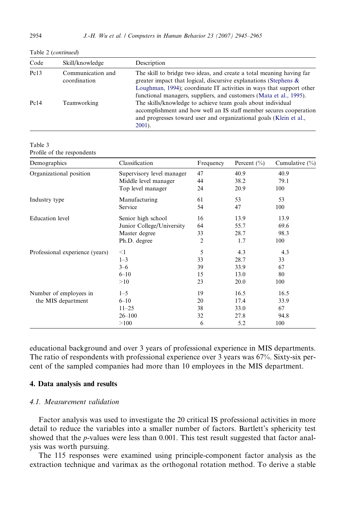| Code | Skill/knowledge                   | Description                                                                                                                                                                                                          |
|------|-----------------------------------|----------------------------------------------------------------------------------------------------------------------------------------------------------------------------------------------------------------------|
| Pc13 | Communication and<br>coordination | The skill to bridge two ideas, and create a total meaning having far<br>greater impact that logical, discursive explanations (Stephens $\&$                                                                          |
|      |                                   | Loughman, 1994); coordinate IT activities in ways that support other<br>functional managers, suppliers, and customers (Mata et al., 1995).                                                                           |
| Pc14 | Teamworking                       | The skills/knowledge to achieve team goals about individual<br>accomplishment and how well an IS staff member secures cooperation<br>and progresses toward user and organizational goals (Klein et al.,<br>$2001$ ). |

<span id="page-9-0"></span>Table 2 (continued)

| Table 3                    |
|----------------------------|
| Profile of the respondents |

| Demographics                    | Classification            | Frequency | Percent $(\% )$ | Cumulative $(\% )$ |
|---------------------------------|---------------------------|-----------|-----------------|--------------------|
| Organizational position         | Supervisory level manager | 47        | 40.9            | 40.9               |
|                                 | Middle level manager      | 44        | 38.2            | 79.1               |
|                                 | Top level manager         | 24        | 20.9            | 100                |
| Industry type                   | Manufacturing             | 61        | 53              | 53                 |
|                                 | Service                   | 54        | 47              | 100                |
| <b>Education</b> level          | Senior high school        | 16        | 13.9            | 13.9               |
|                                 | Junior College/University | 64        | 55.7            | 69.6               |
|                                 | Master degree             | 33        | 28.7            | 98.3               |
|                                 | Ph.D. degree              | 2         | 1.7             | 100                |
| Professional experience (years) | $\leq$ 1                  | 5         | 4.3             | 4.3                |
|                                 | $1 - 3$                   | 33        | 28.7            | 33                 |
|                                 | $3 - 6$                   | 39        | 33.9            | 67                 |
|                                 | $6 - 10$                  | 15        | 13.0            | 80                 |
|                                 | >10                       | 23        | 20.0            | 100                |
| Number of employees in          | $1 - 5$                   | 19        | 16.5            | 16.5               |
| the MIS department              | $6 - 10$                  | 20        | 17.4            | 33.9               |
|                                 | $11 - 25$                 | 38        | 33.0            | 67                 |
|                                 | $26 - 100$                | 32        | 27.8            | 94.8               |
|                                 | >100                      | 6         | 5.2             | 100                |

educational background and over 3 years of professional experience in MIS departments. The ratio of respondents with professional experience over 3 years was 67%. Sixty-six percent of the sampled companies had more than 10 employees in the MIS department.

# 4. Data analysis and results

# 4.1. Measurement validation

Factor analysis was used to investigate the 20 critical IS professional activities in more detail to reduce the variables into a smaller number of factors. Bartlett's sphericity test showed that the *p*-values were less than 0.001. This test result suggested that factor analysis was worth pursuing.

The 115 responses were examined using principle-component factor analysis as the extraction technique and varimax as the orthogonal rotation method. To derive a stable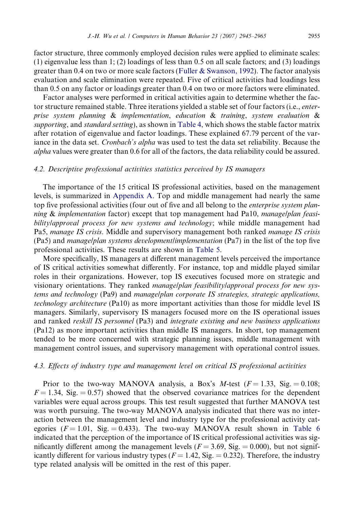factor structure, three commonly employed decision rules were applied to eliminate scales:  $(1)$  eigenvalue less than 1; (2) loadings of less than 0.5 on all scale factors; and (3) loadings greater than 0.4 on two or more scale factors ([Fuller & Swanson, 1992\)](#page-19-0). The factor analysis evaluation and scale elimination were repeated. Five of critical activities had loadings less than 0.5 on any factor or loadings greater than 0.4 on two or more factors were eliminated.

Factor analyses were performed in critical activities again to determine whether the factor structure remained stable. Three iterations yielded a stable set of four factors (i.e., enterprise system planning & implementation, education & training, system evaluation & supporting, and *standard setting*), as shown in [Table 4](#page-11-0), which shows the stable factor matrix after rotation of eigenvalue and factor loadings. These explained 67.79 percent of the variance in the data set. Cronbach's alpha was used to test the data set reliability. Because the alpha values were greater than 0.6 for all of the factors, the data reliability could be assured.

#### 4.2. Descriptive professional activities statistics perceived by IS managers

The importance of the 15 critical IS professional activities, based on the management levels, is summarized in [Appendix A.](#page-18-0) Top and middle management had nearly the same top five professional activities (four out of five and all belong to the *enterprise system plan*ning  $\&$  implementation factor) except that top management had Pa10, managelplan feasibility/approval process for new systems and technology; while middle management had Pa5, manage IS crisis. Middle and supervisory management both ranked manage IS crisis (Pa5) and manage/plan systems development/implementation (Pa7) in the list of the top five professional activities. These results are shown in [Table 5](#page-12-0).

More specifically, IS managers at different management levels perceived the importance of IS critical activities somewhat differently. For instance, top and middle played similar roles in their organizations. However, top IS executives focused more on strategic and visionary orientations. They ranked manage/plan feasibility/approval process for new systems and technology (Pa9) and manage/plan corporate IS strategies, strategic applications, technology architecture (Pa10) as more important activities than those for middle level IS managers. Similarly, supervisory IS managers focused more on the IS operational issues and ranked reskill IS personnel (Pa3) and integrate existing and new business applications (Pa12) as more important activities than middle IS managers. In short, top management tended to be more concerned with strategic planning issues, middle management with management control issues, and supervisory management with operational control issues.

## 4.3. Effects of industry type and management level on critical IS professional activities

Prior to the two-way MANOVA analysis, a Box's M-test  $(F = 1.33, Sig. = 0.108;$  $F = 1.34$ , Sig. = 0.57) showed that the observed covariance matrices for the dependent variables were equal across groups. This test result suggested that further MANOVA test was worth pursuing. The two-way MANOVA analysis indicated that there was no interaction between the management level and industry type for the professional activity categories ( $F = 1.01$ , Sig. = 0.433). The two-way MANOVA result shown in [Table 6](#page-12-0) indicated that the perception of the importance of IS critical professional activities was significantly different among the management levels ( $F = 3.69$ , Sig. = 0.000), but not significantly different for various industry types ( $F = 1.42$ , Sig. = 0.232). Therefore, the industry type related analysis will be omitted in the rest of this paper.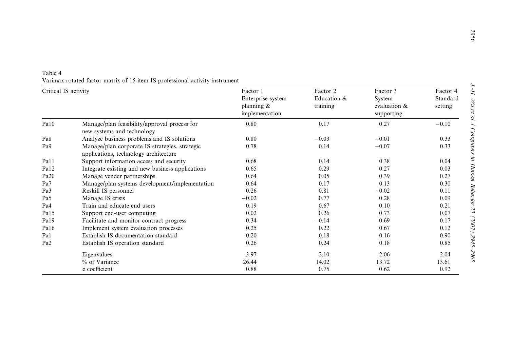| Critical IS activity |                                                                                         | Factor 1<br>Enterprise system<br>planning $\&$<br>implementation | Factor 2<br>Education &<br>training | Factor 3<br>System<br>evaluation &<br>supporting | Factor 4<br>Standard<br>setting |
|----------------------|-----------------------------------------------------------------------------------------|------------------------------------------------------------------|-------------------------------------|--------------------------------------------------|---------------------------------|
| Pa <sub>10</sub>     | Manage/plan feasibility/approval process for<br>new systems and technology              | 0.80                                                             | 0.17                                | 0.27                                             | $-0.10$                         |
| Pa8                  | Analyze business problems and IS solutions                                              | 0.80                                                             | $-0.03$                             | $-0.01$                                          | 0.33                            |
| Pa <sub>9</sub>      | Manage/plan corporate IS strategies, strategic<br>applications, technology architecture | 0.78                                                             | 0.14                                | $-0.07$                                          | 0.33                            |
| Pa11                 | Support information access and security                                                 | 0.68                                                             | 0.14                                | 0.38                                             | 0.04                            |
| Pa12                 | Integrate existing and new business applications                                        | 0.65                                                             | 0.29                                | 0.27                                             | 0.03                            |
| Pa <sub>20</sub>     | Manage vender partnerships                                                              | 0.64                                                             | 0.05                                | 0.39                                             | 0.27                            |
| Pa7                  | Manage/plan systems development/implementation                                          | 0.64                                                             | 0.17                                | 0.13                                             | 0.30                            |
| Pa <sub>3</sub>      | Reskill IS personnel                                                                    | 0.26                                                             | 0.81                                | $-0.02$                                          | 0.11                            |
| Pa5                  | Manage IS crisis                                                                        | $-0.02$                                                          | 0.77                                | 0.28                                             | 0.09                            |
| Pa <sub>4</sub>      | Train and educate end users                                                             | 0.19                                                             | 0.67                                | 0.10                                             | 0.21                            |
| Pa <sub>15</sub>     | Support end-user computing                                                              | 0.02                                                             | 0.26                                | 0.73                                             | 0.07                            |
| Pa <sub>19</sub>     | Facilitate and monitor contract progress                                                | 0.34                                                             | $-0.14$                             | 0.69                                             | 0.17                            |
| Pa <sub>16</sub>     | Implement system evaluation processes                                                   | 0.25                                                             | 0.22                                | 0.67                                             | 0.12                            |
| Pa1                  | Establish IS documentation standard                                                     | 0.20                                                             | 0.18                                | 0.16                                             | 0.90                            |
| Pa <sub>2</sub>      | Establish IS operation standard                                                         | 0.26                                                             | 0.24                                | 0.18                                             | 0.85                            |
|                      | Eigenvalues                                                                             | 3.97                                                             | 2.10                                | 2.06                                             | 2.04                            |
|                      | % of Variance                                                                           | 26.44                                                            | 14.02                               | 13.72                                            | 13.61                           |
|                      | $\alpha$ coefficient                                                                    | 0.88                                                             | 0.75                                | 0.62                                             | 0.92                            |

<span id="page-11-0"></span>Table 4Varimax rotated factor matrix of 15-item IS professional activity instrument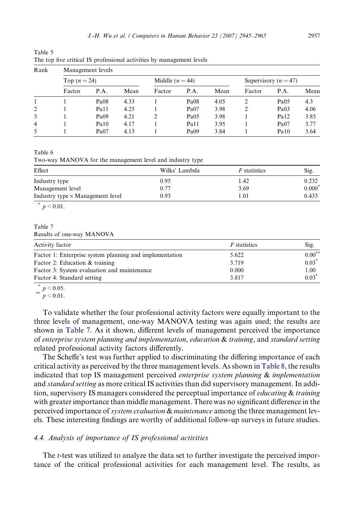| Rank           | Management levels |                  |      |                   |                  |      |                          |                   |      |  |
|----------------|-------------------|------------------|------|-------------------|------------------|------|--------------------------|-------------------|------|--|
|                | Top $(n = 24)$    |                  |      | Middle $(n = 44)$ |                  |      | Supervisory ( $n = 47$ ) |                   |      |  |
|                | Factor            | P.A.             | Mean | Factor            | P.A.             | Mean | Factor                   | P.A.              | Mean |  |
|                |                   | Pa <sub>08</sub> | 4.33 |                   | Pa <sub>08</sub> | 4.05 |                          | Pa <sub>05</sub>  | 4.3  |  |
| 2              |                   | Pal <sub>1</sub> | 4.25 |                   | Pa07             | 3.98 | 2                        | Pa <sub>0</sub> 3 | 4.06 |  |
| 3              |                   | Pa <sub>09</sub> | 4.21 | $\mathfrak{D}$    | Pa <sub>05</sub> | 3.98 |                          | Pa <sub>12</sub>  | 3.85 |  |
| $\overline{4}$ |                   | Pa <sub>10</sub> | 4.17 |                   | Pa <sub>11</sub> | 3.95 |                          | Pa <sub>07</sub>  | 3.77 |  |
| 5              |                   | Pa <sub>07</sub> | 4.13 |                   | Pa <sub>09</sub> | 3.84 |                          | Pa <sub>10</sub>  | 3.64 |  |

<span id="page-12-0"></span>Table 5 The top five critical IS professional activities by management levels

Table 6

Two-way MANOVA for the management level and industry type

| Effect                                  | Wilks' Lambda | <i>F</i> statistics | Sig.     |  |
|-----------------------------------------|---------------|---------------------|----------|--|
| Industry type                           | 0.95          | 1.42                | 0.232    |  |
| Management level                        | 0.77          | 3.69                | $0.000*$ |  |
| Industry type $\times$ Management level | 0.93          | 1.01                | 0.433    |  |

 $p < 0.01$ .

Table 7 Results of one-way MANOVA

| Activity factor                                         | <i>F</i> statistics | Sig.        |
|---------------------------------------------------------|---------------------|-------------|
| Factor 1: Enterprise system planning and implementation | 5.622               | $0.00^{**}$ |
| Factor 2: Education & training                          | 3.719               | $0.03*$     |
| Factor 3: System evaluation and maintenance             | 0.000               | 1.00        |
| Factor 4: Standard setting                              | 3817                | $0.03^*$    |

\*  $p < 0.05$ .<br>\*\*  $p < 0.01$ .

To validate whether the four professional activity factors were equally important to the three levels of management, one-way MANOVA testing was again used; the results are shown in Table 7. As it shown, different levels of management perceived the importance of enterprise system planning and implementation, education  $\&$  training, and standard setting related professional activity factors differently.

The Scheffe's test was further applied to discriminating the differing importance of each critical activity as perceived by the three management levels. As shown in [Table 8,](#page-13-0) the results indicated that top IS management perceived *enterprise system planning*  $\&$  *implementation* and *standard setting* as more critical IS activities than did supervisory management. In addition, supervisory IS managers considered the perceptual importance of *educating & training* with greater importance than middle management. There was no significant difference in the perceived importance of *system evaluation & maintenance* among the three management levels. These interesting findings are worthy of additional follow-up surveys in future studies.

#### 4.4. Analysis of importance of IS professional activities

The t-test was utilized to analyze the data set to further investigate the perceived importance of the critical professional activities for each management level. The results, as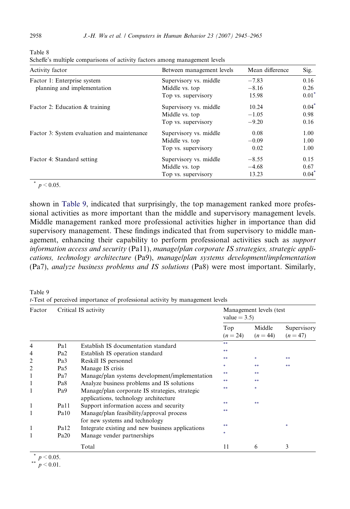| Activity factor                             | Between management levels | Mean difference | Sig.    |  |
|---------------------------------------------|---------------------------|-----------------|---------|--|
| Factor 1: Enterprise system                 | Supervisory vs. middle    | $-7.83$         | 0.16    |  |
| planning and implementation                 | Middle vs. top            | $-8.16$         | 0.26    |  |
|                                             | Top vs. supervisory       | 15.98           | $0.01*$ |  |
| Factor 2: Education & training              | Supervisory vs. middle    | 10.24           | $0.04*$ |  |
|                                             | Middle vs. top            | $-1.05$         | 0.98    |  |
|                                             | Top vs. supervisory       | $-9.20$         | 0.16    |  |
| Factor 3: System evaluation and maintenance | Supervisory vs. middle    | 0.08            | 1.00    |  |
|                                             | Middle vs. top            | $-0.09$         | 1.00    |  |
|                                             | Top vs. supervisory       | 0.02            | 1.00    |  |
| Factor 4: Standard setting                  | Supervisory vs. middle    | $-8.55$         | 0.15    |  |
|                                             | Middle vs. top            | $-4.68$         | 0.67    |  |
|                                             | Top vs. supervisory       | 13.23           | $0.04*$ |  |

#### <span id="page-13-0"></span>Table 8

Scheffe's multiple comparisons of activity factors among management levels

 $p < 0.05$ .

shown in Table 9, indicated that surprisingly, the top management ranked more professional activities as more important than the middle and supervisory management levels. Middle management ranked more professional activities higher in importance than did supervisory management. These findings indicated that from supervisory to middle management, enhancing their capability to perform professional activities such as support information access and security (Pa11), manage/plan corporate IS strategies, strategic applications, technology architecture (Pa9), manage/plan systems development/implementation (Pa7), analyze business problems and IS solutions (Pa8) were most important. Similarly,

Table 9

t-Test of perceived importance of professional activity by management levels

| Factor |                  | Critical IS activity                                                                    | Management levels (test)<br>value $= 3.5$ |                      |                           |
|--------|------------------|-----------------------------------------------------------------------------------------|-------------------------------------------|----------------------|---------------------------|
|        |                  |                                                                                         | Top<br>$(n = 24)$                         | Middle<br>$(n = 44)$ | Supervisory<br>$(n = 47)$ |
| 4      | Pal              | Establish IS documentation standard                                                     | **                                        |                      |                           |
| 4      | Pa <sub>2</sub>  | Establish IS operation standard                                                         | **                                        |                      |                           |
| 2      | Pa <sub>3</sub>  | Reskill IS personnel                                                                    | **                                        | ×.                   | **                        |
| 2      | Pa5              | Manage IS crisis                                                                        |                                           | **                   | **                        |
| 1      | Pa7              | Manage/plan systems development/implementation                                          | **                                        | **                   |                           |
| 1      | Pa8              | Analyze business problems and IS solutions                                              | **                                        | **                   |                           |
| 1      | Pa <sub>9</sub>  | Manage/plan corporate IS strategies, strategic<br>applications, technology architecture | **                                        | ×.                   |                           |
| 1      | Pal <sub>1</sub> | Support information access and security                                                 | **                                        | **                   |                           |
| 1      | Pa <sub>10</sub> | Manage/plan feasibility/approval process<br>for new systems and technology              | **                                        |                      |                           |
| 1      | Pa <sub>12</sub> | Integrate existing and new business applications                                        | **                                        |                      | ÷                         |
|        | Pa <sub>20</sub> | Manage vender partnerships                                                              | *                                         |                      |                           |
|        |                  | Total                                                                                   | 11                                        | 6                    | 3                         |

 $p \le 0.01$ .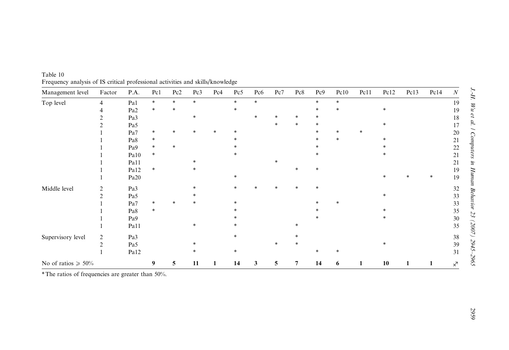| Management level         | Factor         | P.A.             | Pc1    | Pc <sub>2</sub> | Pc3    | Pc4 | Pc5    | Pc <sub>6</sub> | Pc7 | Pc8    | Pc9    | Pc10    | Pc11 | Pc12   | Pc13 | Pc14 | $\boldsymbol{N}$                        |
|--------------------------|----------------|------------------|--------|-----------------|--------|-----|--------|-----------------|-----|--------|--------|---------|------|--------|------|------|-----------------------------------------|
| Top level                | $\overline{4}$ | Pa1              | $\ast$ | $\ast$          | $\ast$ |     | $\ast$ | $\ast$          |     |        | $\ast$ | $\ast$  |      |        |      |      | 19                                      |
|                          | 4              | Pa <sub>2</sub>  | $\ast$ | $\ast$          |        |     | $\ast$ |                 |     |        |        | $\star$ |      | $\ast$ |      |      | 19                                      |
|                          |                | Pa <sub>3</sub>  |        |                 | $\ast$ |     |        |                 |     |        |        |         |      |        |      |      | 18                                      |
|                          |                | Pa5              |        |                 |        |     |        |                 |     | $\ast$ |        |         |      |        |      |      | 17                                      |
|                          |                | Pa7              | $\ast$ |                 |        |     |        |                 |     |        |        |         |      |        |      |      | 20                                      |
|                          |                | Pa8              | *      |                 |        |     |        |                 |     |        |        |         |      |        |      |      |                                         |
|                          |                | Pa <sub>9</sub>  | $\ast$ |                 |        |     |        |                 |     |        |        |         |      |        |      |      | $\begin{array}{c} 21 \\ 22 \end{array}$ |
|                          |                | Pa10             | $\ast$ |                 |        |     |        |                 |     |        |        |         |      |        |      |      | 21                                      |
|                          |                | Pa11             |        |                 |        |     |        |                 |     |        |        |         |      |        |      |      | 21                                      |
|                          |                | Pa12             | $\ast$ |                 | $\ast$ |     |        |                 |     |        |        |         |      |        |      |      | 19                                      |
|                          |                | Pa <sub>20</sub> |        |                 |        |     |        |                 |     |        |        |         |      |        |      |      | 19                                      |
| Middle level             | 2              | Pa <sub>3</sub>  |        |                 |        |     |        |                 |     |        | $\ast$ |         |      |        |      |      | 32                                      |
|                          | $\mathfrak{D}$ | Pa5              |        |                 |        |     |        |                 |     |        |        |         |      |        |      |      | 33                                      |
|                          |                | Pa7              | *      |                 |        |     |        |                 |     |        |        |         |      |        |      |      | 33                                      |
|                          |                | Pa8              | $\ast$ |                 |        |     |        |                 |     |        |        |         |      |        |      |      | 35                                      |
|                          |                | Pa9              |        |                 |        |     |        |                 |     |        |        |         |      |        |      |      | $30\,$                                  |
|                          |                | Pa11             |        |                 | $\ast$ |     |        |                 |     |        |        |         |      |        |      |      | 35                                      |
| Supervisory level        | $\overline{2}$ | Pa <sub>3</sub>  |        |                 |        |     |        |                 |     |        |        |         |      |        |      |      | 38                                      |
|                          | 2              | Pa5              |        |                 |        |     |        |                 |     |        |        |         |      |        |      |      | 39                                      |
|                          |                | Pa12             |        |                 |        |     |        |                 |     |        |        |         |      |        |      |      | 31                                      |
| No of ratios $\geq 50\%$ |                |                  | 9      | 5               | 11     |     | 14     | 3               | 5   | 7      | 14     | 6       | 1    | 10     |      |      | $\bar{\times}$                          |

<span id="page-14-0"></span>Table 10Frequency analysis of IS critical professional activities and skills/knowledge

\*The ratios of frequencies are greater than 50%.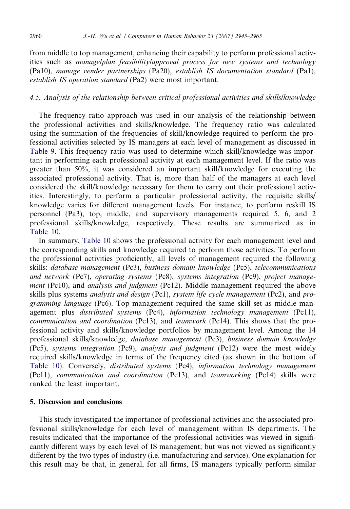from middle to top management, enhancing their capability to perform professional activities such as managelplan feasibilitylapproval process for new systems and technology (Pa10), manage vender partnerships (Pa20), establish IS documentation standard (Pa1), establish IS operation standard (Pa2) were most important.

## 4.5. Analysis of the relationship between critical professional activities and skills/knowledge

The frequency ratio approach was used in our analysis of the relationship between the professional activities and skills/knowledge. The frequency ratio was calculated using the summation of the frequencies of skill/knowledge required to perform the professional activities selected by IS managers at each level of management as discussed in [Table 9.](#page-13-0) This frequency ratio was used to determine which skill/knowledge was important in performing each professional activity at each management level. If the ratio was greater than 50%, it was considered an important skill/knowledge for executing the associated professional activity. That is, more than half of the managers at each level considered the skill/knowledge necessary for them to carry out their professional activities. Interestingly, to perform a particular professional activity, the requisite skills/ knowledge varies for different management levels. For instance, to perform reskill IS personnel (Pa3), top, middle, and supervisory managements required 5, 6, and 2 professional skills/knowledge, respectively. These results are summarized as in [Table 10](#page-14-0).

In summary, [Table 10](#page-14-0) shows the professional activity for each management level and the corresponding skills and knowledge required to perform those activities. To perform the professional activities proficiently, all levels of management required the following skills: database management (Pc3), business domain knowledge (Pc5), telecommunications and network (Pc7), operating systems (Pc8), systems integration (Pc9), project management (Pc10), and *analysis and judgment* (Pc12). Middle management required the above skills plus systems *analysis and design* (Pc1), *system life cycle management* (Pc2), and *pro*gramming language (Pc6). Top management required the same skill set as middle management plus *distributed systems* (Pc4), *information technology management* (Pc11), communication and coordination (Pc13), and teamwork (Pc14). This shows that the professional activity and skills/knowledge portfolios by management level. Among the 14 professional skills/knowledge, database management (Pc3), business domain knowledge (Pc5), systems integration (Pc9), analysis and judgment (Pc12) were the most widely required skills/knowledge in terms of the frequency cited (as shown in the bottom of [Table 10\)](#page-14-0). Conversely, distributed systems (Pc4), information technology management (Pc11), communication and coordination (Pc13), and teamworking (Pc14) skills were ranked the least important.

## 5. Discussion and conclusions

This study investigated the importance of professional activities and the associated professional skills/knowledge for each level of management within IS departments. The results indicated that the importance of the professional activities was viewed in significantly different ways by each level of IS management; but was not viewed as significantly different by the two types of industry (i.e. manufacturing and service). One explanation for this result may be that, in general, for all firms, IS managers typically perform similar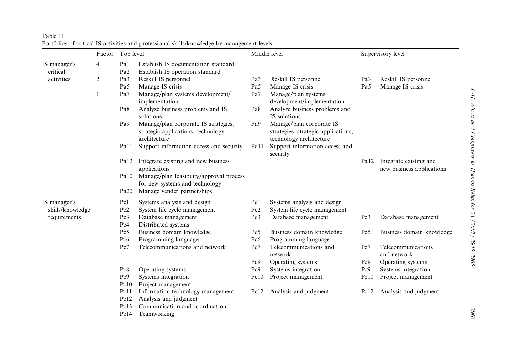|                                  | Factor         | Top level              |                                                                                            |                  | Middle level                                                                               |                  | Supervisory level                                   |  |  |
|----------------------------------|----------------|------------------------|--------------------------------------------------------------------------------------------|------------------|--------------------------------------------------------------------------------------------|------------------|-----------------------------------------------------|--|--|
| IS manager's<br>critical         | 4              | Pal<br>Pa <sub>2</sub> | Establish IS documentation standard<br>Establish IS operation standard                     |                  |                                                                                            |                  |                                                     |  |  |
| activities                       | $\overline{2}$ | Pa <sub>3</sub>        | Reskill IS personnel                                                                       |                  | Pa <sub>3</sub><br>Reskill IS personnel                                                    |                  | Reskill IS personnel                                |  |  |
|                                  |                | Pa5                    | Manage IS crisis                                                                           |                  | Manage IS crisis                                                                           | Pa5              | Manage IS crisis                                    |  |  |
|                                  | 1              | Pa7                    | Manage/plan systems development/<br>implementation                                         | Pa7              | Manage/plan systems<br>development/implementation                                          |                  |                                                     |  |  |
|                                  |                | Pa8                    | Analyze business problems and IS<br>solutions                                              | Pa8              | Analyze business problems and<br>IS solutions                                              |                  |                                                     |  |  |
|                                  |                | Pa <sub>9</sub>        | Manage/plan corporate IS strategies,<br>strategic applications, technology<br>architecture | Pa <sub>9</sub>  | Manage/plan corporate IS<br>strategies, strategic applications,<br>technology architecture |                  |                                                     |  |  |
|                                  |                | Pal <sub>1</sub>       | Support information access and security                                                    | Pa <sub>11</sub> | Support information access and<br>security                                                 |                  |                                                     |  |  |
|                                  |                | Pa <sub>12</sub>       | Integrate existing and new business<br>applications                                        |                  |                                                                                            | Pa <sub>12</sub> | Integrate existing and<br>new business applications |  |  |
|                                  |                | Pa <sub>10</sub>       | Manage/plan feasibility/approval process<br>for new systems and technology                 |                  |                                                                                            |                  |                                                     |  |  |
|                                  |                | Pa <sub>20</sub>       | Manage vender partnerships                                                                 |                  |                                                                                            |                  |                                                     |  |  |
| IS manager's                     |                | Pc1                    | Systems analysis and design                                                                | Pc1              | Systems analysis and design                                                                |                  |                                                     |  |  |
| skills/knowledge<br>requirements |                | Pc <sub>2</sub>        | System life cycle management                                                               | Pc <sub>2</sub>  | System life cycle management                                                               |                  |                                                     |  |  |
|                                  |                | Pc3<br>Pc <sub>4</sub> | Database management<br>Distributed systems                                                 | Pc3              | Database management                                                                        | Pc3              | Database management                                 |  |  |
|                                  |                | Pc5                    | Business domain knowledge                                                                  | Pc <sub>5</sub>  | Business domain knowledge                                                                  | Pc5              | Business domain knowledge                           |  |  |
|                                  |                | Pc <sub>6</sub>        | Programming language                                                                       | Pc <sub>6</sub>  | Programming language                                                                       |                  |                                                     |  |  |
|                                  |                | Pc7                    | Telecommunications and network                                                             | Pc7              | Telecommunications and<br>network                                                          | Pc7              | Telecommunications<br>and network                   |  |  |
|                                  |                |                        |                                                                                            | Pc8              | Operating systems                                                                          | Pc8              | Operating systems                                   |  |  |
|                                  |                | Pc8                    | Operating systems                                                                          | Pc9              | Systems integration                                                                        | Pc <sub>9</sub>  | Systems integration                                 |  |  |
|                                  |                | Pc9                    | Systems integration                                                                        | Pc10             | Project management                                                                         | Pc10             | Project management                                  |  |  |
|                                  |                | Pc10                   | Project management                                                                         |                  |                                                                                            |                  |                                                     |  |  |
|                                  |                | Pc11                   | Information technology management                                                          | Pc12             | Analysis and judgment                                                                      | Pc12             | Analysis and judgment                               |  |  |
|                                  |                | Pc12                   | Analysis and judgment                                                                      |                  |                                                                                            |                  |                                                     |  |  |
|                                  |                | Pc13                   | Communication and coordination                                                             |                  |                                                                                            |                  |                                                     |  |  |
|                                  |                | Pc14                   | Teamworking                                                                                |                  |                                                                                            |                  |                                                     |  |  |

<span id="page-16-0"></span>Table 11 Portfolios of critical IS activities and professional skills/knowledge by management levels

2961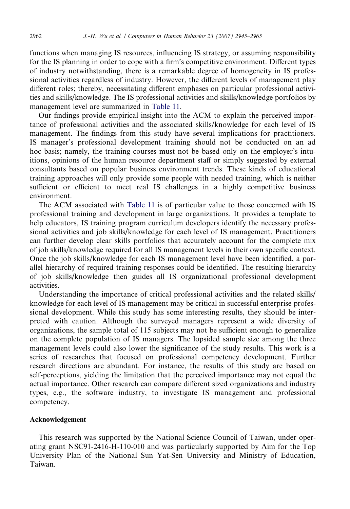functions when managing IS resources, influencing IS strategy, or assuming responsibility for the IS planning in order to cope with a firm's competitive environment. Different types of industry notwithstanding, there is a remarkable degree of homogeneity in IS professional activities regardless of industry. However, the different levels of management play different roles; thereby, necessitating different emphases on particular professional activities and skills/knowledge. The IS professional activities and skills/knowledge portfolios by management level are summarized in [Table 11](#page-16-0).

Our findings provide empirical insight into the ACM to explain the perceived importance of professional activities and the associated skills/knowledge for each level of IS management. The findings from this study have several implications for practitioners. IS manager's professional development training should not be conducted on an ad hoc basis; namely, the training courses must not be based only on the employer's intuitions, opinions of the human resource department staff or simply suggested by external consultants based on popular business environment trends. These kinds of educational training approaches will only provide some people with needed training, which is neither sufficient or efficient to meet real IS challenges in a highly competitive business environment.

The ACM associated with [Table 11](#page-16-0) is of particular value to those concerned with IS professional training and development in large organizations. It provides a template to help educators, IS training program curriculum developers identify the necessary professional activities and job skills/knowledge for each level of IS management. Practitioners can further develop clear skills portfolios that accurately account for the complete mix of job skills/knowledge required for all IS management levels in their own specific context. Once the job skills/knowledge for each IS management level have been identified, a parallel hierarchy of required training responses could be identified. The resulting hierarchy of job skills/knowledge then guides all IS organizational professional development activities.

Understanding the importance of critical professional activities and the related skills/ knowledge for each level of IS management may be critical in successful enterprise professional development. While this study has some interesting results, they should be interpreted with caution. Although the surveyed managers represent a wide diversity of organizations, the sample total of 115 subjects may not be sufficient enough to generalize on the complete population of IS managers. The lopsided sample size among the three management levels could also lower the significance of the study results. This work is a series of researches that focused on professional competency development. Further research directions are abundant. For instance, the results of this study are based on self-perceptions, yielding the limitation that the perceived importance may not equal the actual importance. Other research can compare different sized organizations and industry types, e.g., the software industry, to investigate IS management and professional competency.

## Acknowledgement

This research was supported by the National Science Council of Taiwan, under operating grant NSC91-2416-H-110-010 and was particularly supported by Aim for the Top University Plan of the National Sun Yat-Sen University and Ministry of Education, Taiwan.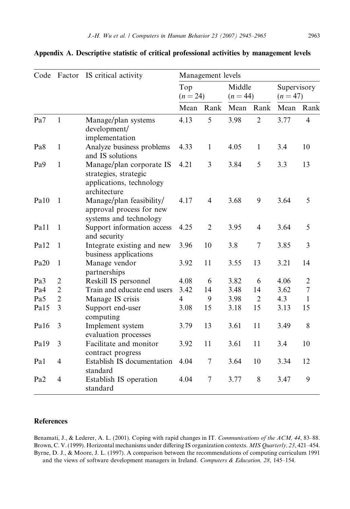|                  |                | Code Factor IS critical activity                                                              | Management levels |                |                      |                |                           |                          |  |  |
|------------------|----------------|-----------------------------------------------------------------------------------------------|-------------------|----------------|----------------------|----------------|---------------------------|--------------------------|--|--|
|                  |                |                                                                                               | Top<br>$(n = 24)$ |                | Middle<br>$(n = 44)$ |                | Supervisory<br>$(n = 47)$ |                          |  |  |
|                  |                |                                                                                               | Mean              | Rank           | Mean                 | Rank           |                           | Mean Rank                |  |  |
| Pa7              | $\mathbf{1}$   | Manage/plan systems<br>development/<br>implementation                                         | 4.13              | 5              | 3.98                 | $\mathfrak{D}$ | 3.77                      | $\overline{\mathcal{L}}$ |  |  |
| Pa8              | $\mathbf{1}$   | Analyze business problems<br>and IS solutions                                                 | 4.33              | $\mathbf{1}$   | 4.05                 | $\mathbf{1}$   | 3.4                       | 10                       |  |  |
| Pa <sub>9</sub>  | 1              | Manage/plan corporate IS<br>strategies, strategic<br>applications, technology<br>architecture | 4.21              | 3              | 3.84                 | 5              | 3.3                       | 13                       |  |  |
| Pa <sub>10</sub> | $\mathbf{1}$   | Manage/plan feasibility/<br>approval process for new<br>systems and technology                | 4.17              | $\overline{4}$ | 3.68                 | 9              | 3.64                      | 5                        |  |  |
| Pa11             | $\mathbf{1}$   | Support information access<br>and security                                                    | 4.25              | $\overline{2}$ | 3.95                 | $\overline{4}$ | 3.64                      | 5                        |  |  |
| Pa12             | $\mathbf{1}$   | Integrate existing and new<br>business applications                                           | 3.96              | 10             | 3.8                  | $\tau$         | 3.85                      | 3                        |  |  |
| Pa <sub>20</sub> | $\mathbf{1}$   | Manage vendor<br>partnerships                                                                 | 3.92              | 11             | 3.55                 | 13             | 3.21                      | 14                       |  |  |
| Pa <sub>3</sub>  | $\overline{c}$ | Reskill IS personnel                                                                          | 4.08              | 6              | 3.82                 | 6              | 4.06                      | $\overline{c}$           |  |  |
| Pa4              | $\overline{2}$ | Train and educate end users                                                                   | 3.42              | 14             | 3.48                 | 14             | 3.62                      | $\overline{7}$           |  |  |
| Pa5              | $\overline{2}$ | Manage IS crisis                                                                              | 4                 | 9              | 3.98                 | $\overline{2}$ | 4.3                       | $\mathbf{1}$             |  |  |
| Pa <sub>15</sub> | 3              | Support end-user<br>computing                                                                 | 3.08              | 15             | 3.18                 | 15             | 3.13                      | 15                       |  |  |
| Pa16             | 3              | Implement system<br>evaluation processes                                                      | 3.79              | 13             | 3.61                 | 11             | 3.49                      | 8                        |  |  |
| Pa19             | 3              | Facilitate and monitor<br>contract progress                                                   | 3.92              | 11             | 3.61                 | 11             | 3.4                       | 10                       |  |  |
| Pa1              | $\overline{4}$ | Establish IS documentation<br>standard                                                        | 4.04              | $\overline{7}$ | 3.64                 | 10             | 3.34                      | 12                       |  |  |
| Pa <sub>2</sub>  | $\overline{4}$ | Establish IS operation<br>standard                                                            | 4.04              | $\overline{7}$ | 3.77                 | 8              | 3.47                      | 9                        |  |  |

# <span id="page-18-0"></span>Appendix A. Descriptive statistic of critical professional activities by management levels

# References

Benamati, J., & Lederer, A. L. (2001). Coping with rapid changes in IT. Communications of the ACM, 44, 83-88. Brown, C. V. (1999). Horizontal mechanisms under differing IS organization contexts. MIS Quarterly, 23, 421–454. Byrne, D. J., & Moore, J. L. (1997). A comparison between the recommendations of computing curriculum 1991 and the views of software development managers in Ireland. Computers & Education, 28, 145–154.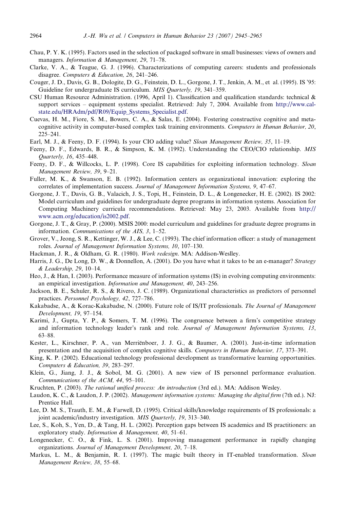- <span id="page-19-0"></span>Chau, P. Y. K. (1995). Factors used in the selection of packaged software in small businesses: views of owners and managers. *Information & Management*, 29, 71–78.
- Clarke, V. A., & Teague, G. J. (1996). Characterizations of computing careers: students and professionals disagree. Computers & Education, 26, 241–246.
- Couger, J. D., Davis, G. B., Dologite, D. G., Feinstein, D. L., Gorgone, J. T., Jenkin, A. M., et al. (1995). IS '95: Guideline for undergraduate IS curriculum. MIS Ouarterly, 19, 341–359.
- CSU Human Resource Administration. (1996, April 1). Classification and qualification standards: technical & support services – equipment systems specialist. Retrieved: July 7, 2004. Available from [http://www.cal](http://www.calstate.edu/HRAdm/pdf/R09/Equip_Systems_Specialist.pdf)[state.edu/HRAdm/pdf/R09/Equip\\_Systems\\_Specialist.pdf.](http://www.calstate.edu/HRAdm/pdf/R09/Equip_Systems_Specialist.pdf)
- Cuevas, H. M., Fiore, S. M., Bowers, C. A., & Salas, E. (2004). Fostering constructive cognitive and metacognitive activity in computer-based complex task training environments. Computers in Human Behavior, 20, 225–241.
- Earl, M. J., & Feeny, D. F. (1994). Is your CIO adding value? Sloan Management Review, 35, 11–19.
- Feeny, D. F., Edwards, B. R., & Simpson, K. M. (1992). Understanding the CEO/CIO relationship. MIS Quarterly, 16, 435–448.
- Feeny, D. F., & Willcocks, L. P. (1998). Core IS capabilities for exploiting information technology. Sloan Management Review, 39, 9–21.
- Fuller, M. K., & Swanson, E. B. (1992). Information centers as organizational innovation: exploring the correlates of implementation success. Journal of Management Information Systems, 9, 47–67.
- Gorgone, J. T., Davis, G. B., Valacich, J. S., Topi, H., Feinstein, D. L., & Longenecker, H. E. (2002). IS 2002: Model curriculum and guidelines for undergraduate degree programs in information systems. Association for Computing Machinery curricula recommendations. Retrieved: May 23, 2003. Available from [http://](http://www.acm.org/education/is2002.pdf) [www.acm.org/education/is2002.pdf](http://www.acm.org/education/is2002.pdf).
- Gorgone, J. T., & Gray, P. (2000). MSIS 2000: model curriculum and guidelines for graduate degree programs in information. Communications of the AIS, 3, 1–52.
- Grover, V., Jeong, S. R., Kettinger, W. J., & Lee, C. (1993). The chief information officer: a study of management roles. Journal of Management Information Systems, 10, 107–130.
- Hackman, J. R., & Oldham, G. R. (1980). Work redesign. MA: Addison-Weslley.
- Harris, J. G., De Long, D. W., & Donnellon, A. (2001). Do you have what it takes to be an e-manager? Strategy & Leadership, 29, 10–14.
- Heo, J., & Han, I. (2003). Performance measure of information systems (IS) in evolving computing environments: an empirical investigation. Information and Management, 40, 243–256.
- Jackson, B. E., Schuler, R. S., & Rivero, J. C. (1989). Organizational characteristics as predictors of personnel practices. Personnel Psychology, 42, 727–786.
- Kakabadse, A., & Korac-Kakabadse, N. (2000). Future role of IS/IT professionals. The Journal of Management Development, 19, 97–154.
- Karimi, J., Gupta, Y. P., & Somers, T. M. (1996). The congruence between a firm's competitive strategy and information technology leader's rank and role. Journal of Management Information Systems, 13, 63–88.
- Kester, L., Kirschner, P. A., van Merriënboer, J. J. G., & Baumer, A. (2001). Just-in-time information presentation and the acquisition of complex cognitive skills. Computers in Human Behavior, 17, 373–391.
- King, K. P. (2002). Educational technology professional development as transformative learning opportunities. Computers & Education, 39, 283–297.
- Klein, G., Jiang, J. J., & Sobol, M. G. (2001). A new view of IS personnel performance evaluation. Communications of the ACM, 44, 95–101.
- Kruchten, P. (2003). The rational unified process: An introduction (3rd ed.). MA: Addison Wesley.
- Laudon, K. C., & Laudon, J. P. (2002). Management information systems: Managing the digital firm (7th ed.). NJ: Prentice Hall.
- Lee, D. M. S., Trauth, E. M., & Farwell, D. (1995). Critical skills/knowledge requirements of IS professionals: a joint academic/industry investigation. MIS Quarterly, 19, 313-340.
- Lee, S., Koh, S., Yen, D., & Tang, H. L. (2002). Perception gaps between IS academics and IS practitioners: an exploratory study. Information & Management, 40, 51–61.
- Longenecker, C. O., & Fink, L. S. (2001). Improving management performance in rapidly changing organizations. Journal of Management Development, 20, 7–18.
- Markus, L. M., & Benjamin, R. I. (1997). The magic built theory in IT-enabled transformation. Sloan Management Review, 38, 55–68.